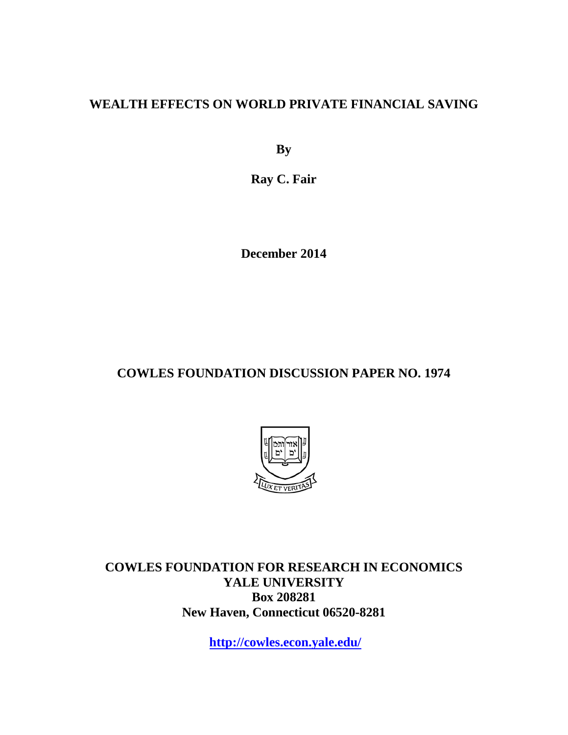# **WEALTH EFFECTS ON WORLD PRIVATE FINANCIAL SAVING**

**By**

**Ray C. Fair**

**December 2014**

# **COWLES FOUNDATION DISCUSSION PAPER NO. 1974**



**COWLES FOUNDATION FOR RESEARCH IN ECONOMICS YALE UNIVERSITY Box 208281 New Haven, Connecticut 06520-8281**

**<http://cowles.econ.yale.edu/>**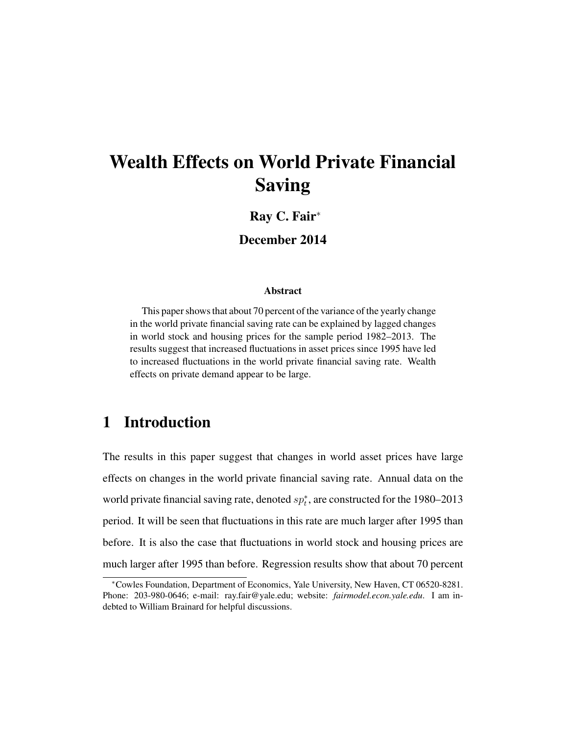# Wealth Effects on World Private Financial Saving

#### Ray C. Fair<sup>∗</sup>

#### December 2014

#### Abstract

This paper shows that about 70 percent of the variance of the yearly change in the world private financial saving rate can be explained by lagged changes in world stock and housing prices for the sample period 1982–2013. The results suggest that increased fluctuations in asset prices since 1995 have led to increased fluctuations in the world private financial saving rate. Wealth effects on private demand appear to be large.

## 1 Introduction

The results in this paper suggest that changes in world asset prices have large effects on changes in the world private financial saving rate. Annual data on the world private financial saving rate, denoted  $sp_t^*$ , are constructed for the 1980–2013 period. It will be seen that fluctuations in this rate are much larger after 1995 than before. It is also the case that fluctuations in world stock and housing prices are much larger after 1995 than before. Regression results show that about 70 percent

<sup>∗</sup>Cowles Foundation, Department of Economics, Yale University, New Haven, CT 06520-8281. Phone: 203-980-0646; e-mail: ray.fair@yale.edu; website: *fairmodel.econ.yale.edu*. I am indebted to William Brainard for helpful discussions.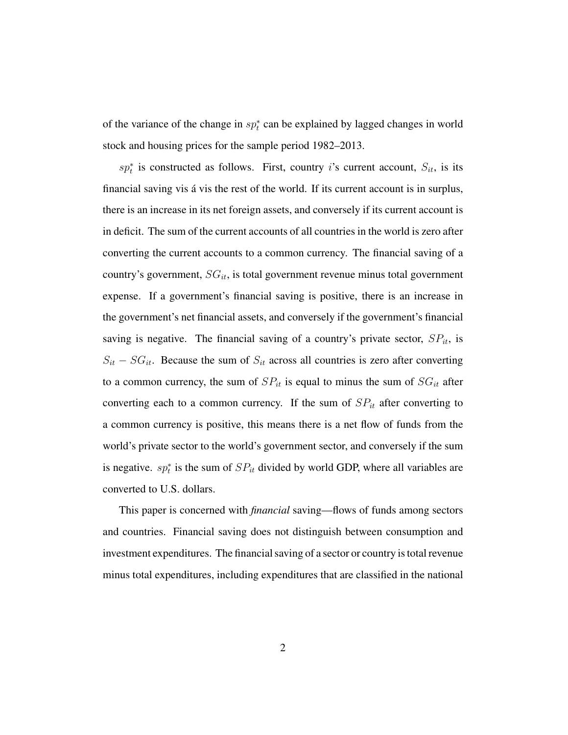of the variance of the change in  $sp_t^*$  can be explained by lagged changes in world stock and housing prices for the sample period 1982–2013.

 $sp<sub>t</sub><sup>*</sup>$  is constructed as follows. First, country i's current account,  $S<sub>it</sub>$ , is its financial saving vis á vis the rest of the world. If its current account is in surplus, there is an increase in its net foreign assets, and conversely if its current account is in deficit. The sum of the current accounts of all countries in the world is zero after converting the current accounts to a common currency. The financial saving of a country's government,  $SG_{it}$ , is total government revenue minus total government expense. If a government's financial saving is positive, there is an increase in the government's net financial assets, and conversely if the government's financial saving is negative. The financial saving of a country's private sector,  $SP_{it}$ , is  $S_{it} - SG_{it}$ . Because the sum of  $S_{it}$  across all countries is zero after converting to a common currency, the sum of  $SP_{it}$  is equal to minus the sum of  $SG_{it}$  after converting each to a common currency. If the sum of  $SP_{it}$  after converting to a common currency is positive, this means there is a net flow of funds from the world's private sector to the world's government sector, and conversely if the sum is negative.  $sp_t^*$  is the sum of  $SP_{it}$  divided by world GDP, where all variables are converted to U.S. dollars.

This paper is concerned with *financial* saving—flows of funds among sectors and countries. Financial saving does not distinguish between consumption and investment expenditures. The financial saving of a sector or country is total revenue minus total expenditures, including expenditures that are classified in the national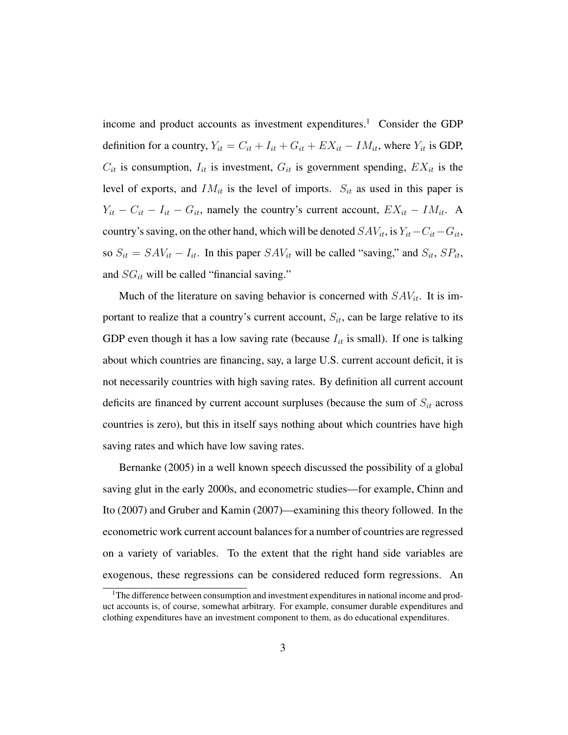income and product accounts as investment expenditures.<sup>1</sup> Consider the GDP definition for a country,  $Y_{it} = C_{it} + I_{it} + G_{it} + EX_{it} - IM_{it}$ , where  $Y_{it}$  is GDP,  $C_{it}$  is consumption,  $I_{it}$  is investment,  $G_{it}$  is government spending,  $EX_{it}$  is the level of exports, and  $IM_{it}$  is the level of imports.  $S_{it}$  as used in this paper is  $Y_{it} - C_{it} - I_{it} - G_{it}$ , namely the country's current account,  $EX_{it} - IM_{it}$ . A country's saving, on the other hand, which will be denoted  $SAV_{it}$ , is  $Y_{it}-C_{it}-G_{it}$ , so  $S_{it} = SAV_{it} - I_{it}$ . In this paper  $SAV_{it}$  will be called "saving," and  $S_{it}$ ,  $SP_{it}$ , and  $SG_{it}$  will be called "financial saving."

Much of the literature on saving behavior is concerned with  $SAV_{it}$ . It is important to realize that a country's current account,  $S_{it}$ , can be large relative to its GDP even though it has a low saving rate (because  $I_{it}$  is small). If one is talking about which countries are financing, say, a large U.S. current account deficit, it is not necessarily countries with high saving rates. By definition all current account deficits are financed by current account surpluses (because the sum of  $S_{it}$  across countries is zero), but this in itself says nothing about which countries have high saving rates and which have low saving rates.

Bernanke (2005) in a well known speech discussed the possibility of a global saving glut in the early 2000s, and econometric studies—for example, Chinn and Ito (2007) and Gruber and Kamin (2007)—examining this theory followed. In the econometric work current account balances for a number of countries are regressed on a variety of variables. To the extent that the right hand side variables are exogenous, these regressions can be considered reduced form regressions. An

<sup>&</sup>lt;sup>1</sup>The difference between consumption and investment expenditures in national income and product accounts is, of course, somewhat arbitrary. For example, consumer durable expenditures and clothing expenditures have an investment component to them, as do educational expenditures.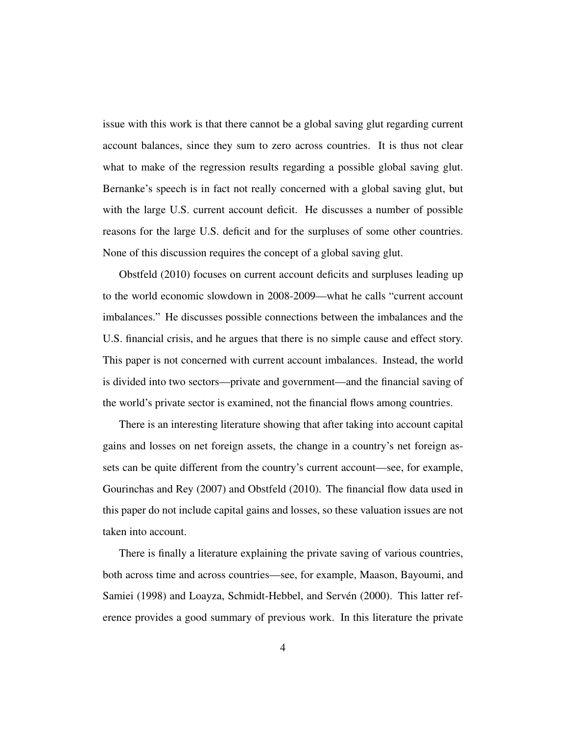issue with this work is that there cannot be a global saving glut regarding current account balances, since they sum to zero across countries. It is thus not clear what to make of the regression results regarding a possible global saving glut. Bernanke's speech is in fact not really concerned with a global saving glut, but with the large U.S. current account deficit. He discusses a number of possible reasons for the large U.S. deficit and for the surpluses of some other countries. None of this discussion requires the concept of a global saving glut.

Obstfeld (2010) focuses on current account deficits and surpluses leading up to the world economic slowdown in 2008-2009—what he calls "current account imbalances." He discusses possible connections between the imbalances and the U.S. financial crisis, and he argues that there is no simple cause and effect story. This paper is not concerned with current account imbalances. Instead, the world is divided into two sectors—private and government—and the financial saving of the world's private sector is examined, not the financial flows among countries.

There is an interesting literature showing that after taking into account capital gains and losses on net foreign assets, the change in a country's net foreign assets can be quite different from the country's current account—see, for example, Gourinchas and Rey (2007) and Obstfeld (2010). The financial flow data used in this paper do not include capital gains and losses, so these valuation issues are not taken into account.

There is finally a literature explaining the private saving of various countries, both across time and across countries—see, for example, Maason, Bayoumi, and Samiei (1998) and Loayza, Schmidt-Hebbel, and Servén (2000). This latter reference provides a good summary of previous work. In this literature the private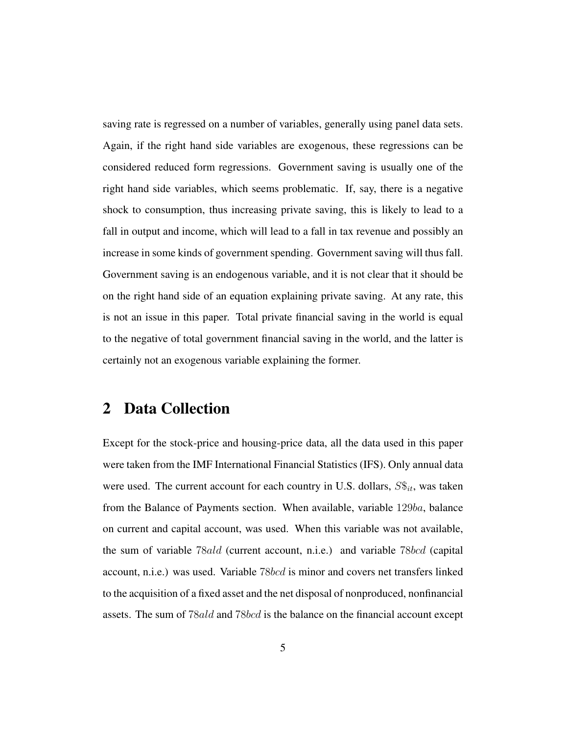saving rate is regressed on a number of variables, generally using panel data sets. Again, if the right hand side variables are exogenous, these regressions can be considered reduced form regressions. Government saving is usually one of the right hand side variables, which seems problematic. If, say, there is a negative shock to consumption, thus increasing private saving, this is likely to lead to a fall in output and income, which will lead to a fall in tax revenue and possibly an increase in some kinds of government spending. Government saving will thus fall. Government saving is an endogenous variable, and it is not clear that it should be on the right hand side of an equation explaining private saving. At any rate, this is not an issue in this paper. Total private financial saving in the world is equal to the negative of total government financial saving in the world, and the latter is certainly not an exogenous variable explaining the former.

### 2 Data Collection

Except for the stock-price and housing-price data, all the data used in this paper were taken from the IMF International Financial Statistics (IFS). Only annual data were used. The current account for each country in U.S. dollars,  $S\hat{s}_{it}$ , was taken from the Balance of Payments section. When available, variable 129ba, balance on current and capital account, was used. When this variable was not available, the sum of variable 78ald (current account, n.i.e.) and variable 78bcd (capital account, n.i.e.) was used. Variable 78bcd is minor and covers net transfers linked to the acquisition of a fixed asset and the net disposal of nonproduced, nonfinancial assets. The sum of 78ald and 78bcd is the balance on the financial account except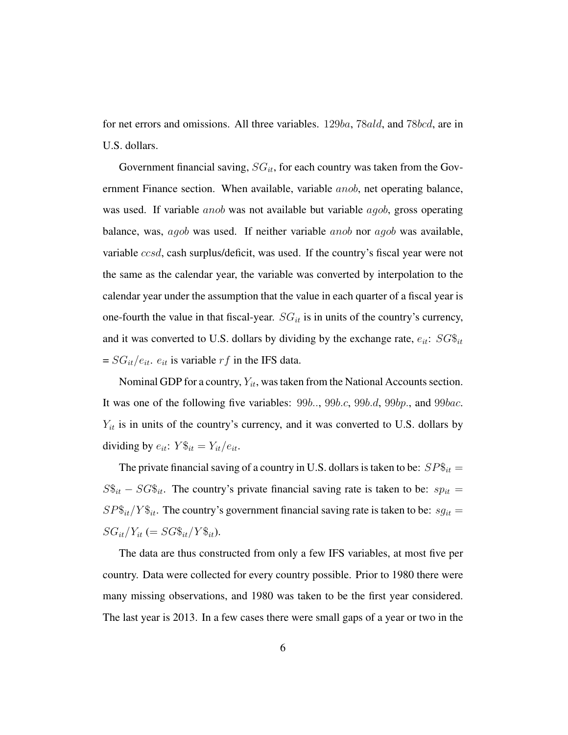for net errors and omissions. All three variables. 129ba, 78ald, and 78bcd, are in U.S. dollars.

Government financial saving,  $SG_{it}$ , for each country was taken from the Government Finance section. When available, variable anob, net operating balance, was used. If variable *anob* was not available but variable *agob*, gross operating balance, was, agob was used. If neither variable anob nor agob was available, variable ccsd, cash surplus/deficit, was used. If the country's fiscal year were not the same as the calendar year, the variable was converted by interpolation to the calendar year under the assumption that the value in each quarter of a fiscal year is one-fourth the value in that fiscal-year.  $SG_{it}$  is in units of the country's currency, and it was converted to U.S. dollars by dividing by the exchange rate,  $e_{it}$ :  $SG\$ <sub>it</sub>  $= SG_{it}/e_{it}.$   $e_{it}$  is variable  $rf$  in the IFS data.

Nominal GDP for a country,  $Y_{it}$ , was taken from the National Accounts section. It was one of the following five variables:  $99b...$ ,  $99b.c$ ,  $99b.d$ ,  $99bp...$ , and  $99bac...$  $Y_{it}$  is in units of the country's currency, and it was converted to U.S. dollars by dividing by  $e_{it}$ :  $Y\$ sub>it</sub> = Y\_{it}/e\_{it}.

The private financial saving of a country in U.S. dollars is taken to be:  $SP\$_{it} =$  $S\$_{it} - SG\$_{it}$ . The country's private financial saving rate is taken to be:  $sp_{it} =$  $SP\$_{it}/Y\$_{it}$ . The country's government financial saving rate is taken to be:  $sg_{it}$  =  $SG_{it}/Y_{it} (=SG\$_{it}/Y\$_{it}).$ 

The data are thus constructed from only a few IFS variables, at most five per country. Data were collected for every country possible. Prior to 1980 there were many missing observations, and 1980 was taken to be the first year considered. The last year is 2013. In a few cases there were small gaps of a year or two in the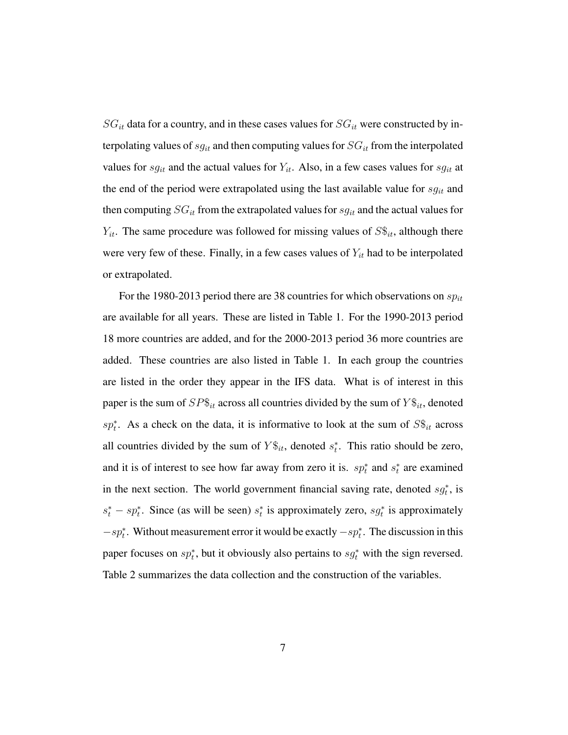$SG_{it}$  data for a country, and in these cases values for  $SG_{it}$  were constructed by interpolating values of  $sg_{it}$  and then computing values for  $SG_{it}$  from the interpolated values for  $sg_{it}$  and the actual values for  $Y_{it}$ . Also, in a few cases values for  $sg_{it}$  at the end of the period were extrapolated using the last available value for  $sg_{it}$  and then computing  $SG_{it}$  from the extrapolated values for  $sg_{it}$  and the actual values for  $Y_{it}$ . The same procedure was followed for missing values of  $S\hat{\mathfrak{s}}_{it}$ , although there were very few of these. Finally, in a few cases values of  $Y_{it}$  had to be interpolated or extrapolated.

For the 1980-2013 period there are 38 countries for which observations on  $sp_{it}$ are available for all years. These are listed in Table 1. For the 1990-2013 period 18 more countries are added, and for the 2000-2013 period 36 more countries are added. These countries are also listed in Table 1. In each group the countries are listed in the order they appear in the IFS data. What is of interest in this paper is the sum of  $SP\$_{it}$  across all countries divided by the sum of  $Y\$_{it}$ , denoted sp<sup>\*</sup><sub>t</sub>. As a check on the data, it is informative to look at the sum of  $S\$_{it}$  across all countries divided by the sum of  $Y\$ bb S\_{it}, denoted  $s_t^*$ . This ratio should be zero, and it is of interest to see how far away from zero it is.  $sp_t^*$  and  $s_t^*$  are examined in the next section. The world government financial saving rate, denoted  $sg_t^*$ , is  $s_t^* - sp_t^*$ . Since (as will be seen)  $s_t^*$  is approximately zero,  $sg_t^*$  is approximately  $-sp_t^*$ . Without measurement error it would be exactly  $-sp_t^*$ . The discussion in this paper focuses on  $sp_t^*$ , but it obviously also pertains to  $sg_t^*$  with the sign reversed. Table 2 summarizes the data collection and the construction of the variables.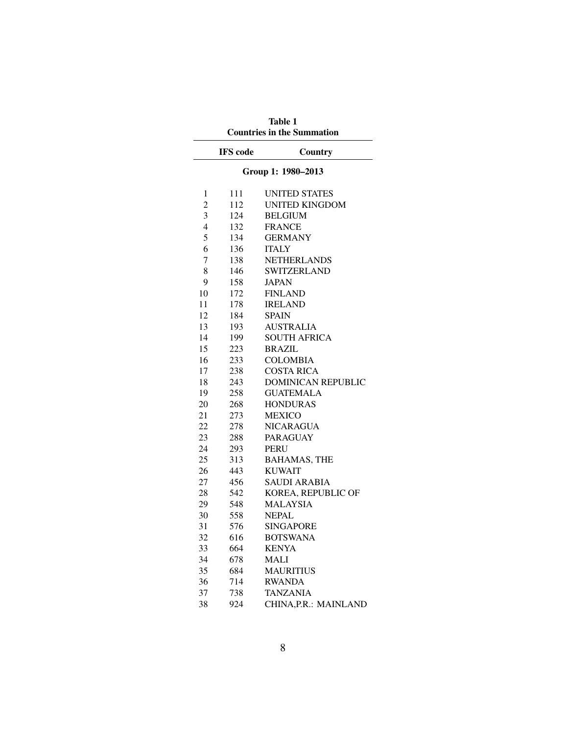|                | <b>Countries in the Summation</b> |                           |  |  |  |
|----------------|-----------------------------------|---------------------------|--|--|--|
|                | <b>IFS</b> code                   | Country                   |  |  |  |
|                | Group 1: 1980-2013                |                           |  |  |  |
| 1              | 111                               | <b>UNITED STATES</b>      |  |  |  |
| $\overline{2}$ | 112                               | <b>UNITED KINGDOM</b>     |  |  |  |
| 3              | 124                               | <b>BELGIUM</b>            |  |  |  |
| $\overline{4}$ | 132                               | <b>FRANCE</b>             |  |  |  |
| 5              | 134                               | <b>GERMANY</b>            |  |  |  |
| 6              | 136                               | <b>ITALY</b>              |  |  |  |
| 7              | 138                               | <b>NETHERLANDS</b>        |  |  |  |
| 8              | 146                               | <b>SWITZERLAND</b>        |  |  |  |
| 9              | 158                               | <b>JAPAN</b>              |  |  |  |
| 10             | 172                               | <b>FINLAND</b>            |  |  |  |
| 11             | 178                               | <b>IRELAND</b>            |  |  |  |
| 12             | 184                               | <b>SPAIN</b>              |  |  |  |
| 13             | 193                               | <b>AUSTRALIA</b>          |  |  |  |
| 14             | 199                               | <b>SOUTH AFRICA</b>       |  |  |  |
| 15             | 223                               | <b>BRAZIL</b>             |  |  |  |
| 16             | 233                               | <b>COLOMBIA</b>           |  |  |  |
| 17             | 238                               | <b>COSTA RICA</b>         |  |  |  |
| 18             | 243                               | <b>DOMINICAN REPUBLIC</b> |  |  |  |
| 19             | 258                               | <b>GUATEMALA</b>          |  |  |  |
| 20             | 268                               | <b>HONDURAS</b>           |  |  |  |
| 21             | 273                               | <b>MEXICO</b>             |  |  |  |
| 22             | 278                               | <b>NICARAGUA</b>          |  |  |  |
| 23             | 288                               | <b>PARAGUAY</b>           |  |  |  |
| 24             | 293                               | <b>PERU</b>               |  |  |  |
| 25             | 313                               | <b>BAHAMAS, THE</b>       |  |  |  |
| 26             | 443                               | <b>KUWAIT</b>             |  |  |  |
| 27             | 456                               | <b>SAUDI ARABIA</b>       |  |  |  |
| 28             | 542                               | KOREA, REPUBLIC OF        |  |  |  |
| 29             | 548                               | <b>MALAYSIA</b>           |  |  |  |
| 30             | 558                               | <b>NEPAL</b>              |  |  |  |
| 31             | 576                               | <b>SINGAPORE</b>          |  |  |  |
| 32             | 616                               | <b>BOTSWANA</b>           |  |  |  |
| 33             | 664                               | <b>KENYA</b>              |  |  |  |
| 34             | 678                               | MALI                      |  |  |  |
| 35             | 684                               | <b>MAURITIUS</b>          |  |  |  |
| 36             | 714                               | <b>RWANDA</b>             |  |  |  |
| 37             | 738                               | <b>TANZANIA</b>           |  |  |  |
| 38             | 924                               | CHINA, P.R.: MAINLAND     |  |  |  |

Table 1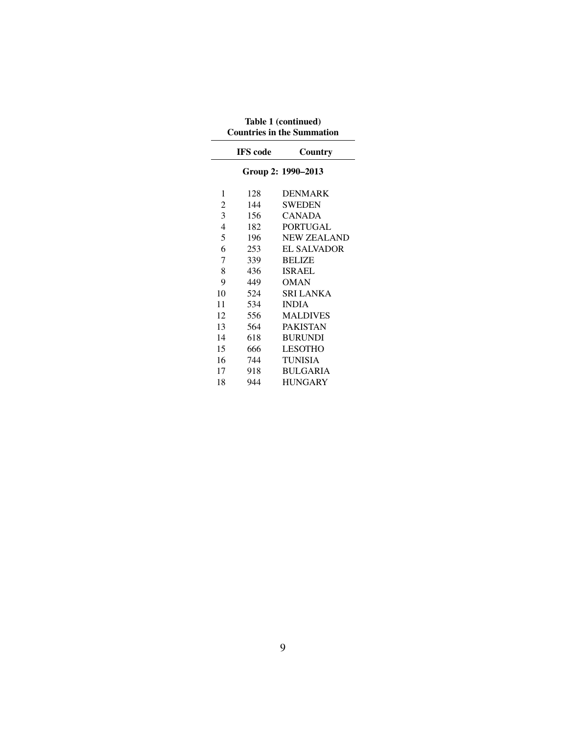| Countries in the Summation |                 |                    |  |  |  |
|----------------------------|-----------------|--------------------|--|--|--|
|                            | <b>IFS</b> code | Country            |  |  |  |
|                            |                 | Group 2: 1990-2013 |  |  |  |
| 1                          | 128             | <b>DENMARK</b>     |  |  |  |
| 2                          | 144             | <b>SWEDEN</b>      |  |  |  |
| 3                          | 156             | <b>CANADA</b>      |  |  |  |
| 4                          | 182             | <b>PORTUGAL</b>    |  |  |  |
| 5                          | 196             | <b>NEW ZEALAND</b> |  |  |  |
| 6                          | 253             | <b>EL SALVADOR</b> |  |  |  |
| 7                          | 339             | <b>BELIZE</b>      |  |  |  |
| 8                          | 436             | <b>ISRAEL</b>      |  |  |  |
| 9                          | 449             | OMAN               |  |  |  |
| 10                         | 524             | SRI LANKA          |  |  |  |
| 11                         | 534             | <b>INDIA</b>       |  |  |  |
| 12                         | 556             | <b>MALDIVES</b>    |  |  |  |
| 13                         | 564             | <b>PAKISTAN</b>    |  |  |  |
| 14                         | 618             | <b>BURUNDI</b>     |  |  |  |
| 15                         | 666             | <b>LESOTHO</b>     |  |  |  |
| 16                         | 744             | <b>TUNISIA</b>     |  |  |  |
| 17                         | 918             | <b>BULGARIA</b>    |  |  |  |
| 18                         | 944             | <b>HUNGARY</b>     |  |  |  |

Table 1 (continued) Countries in the Summation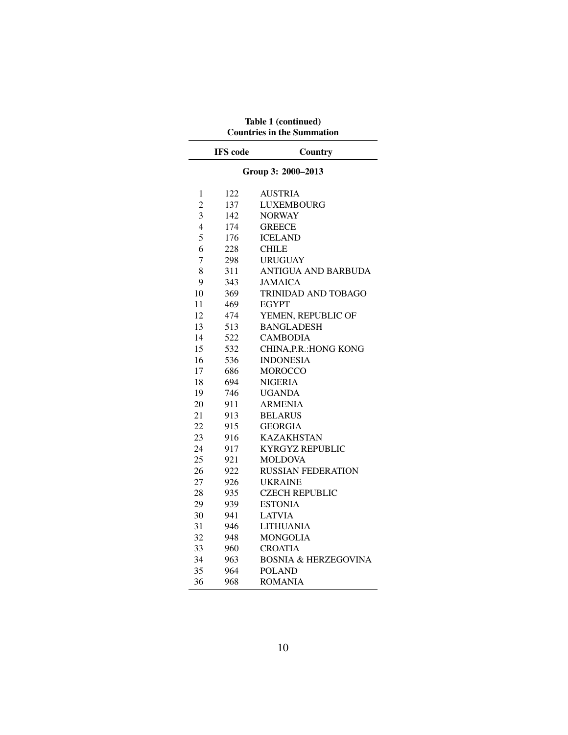| <b>Countries in the Summation</b> |                 |                                 |  |  |  |
|-----------------------------------|-----------------|---------------------------------|--|--|--|
|                                   | <b>IFS</b> code | Country                         |  |  |  |
| Group 3: 2000-2013                |                 |                                 |  |  |  |
| 1                                 | 122             | <b>AUSTRIA</b>                  |  |  |  |
| $\overline{2}$                    | 137             | <b>LUXEMBOURG</b>               |  |  |  |
| 3                                 | 142             | <b>NORWAY</b>                   |  |  |  |
| $\overline{4}$                    | 174             | <b>GREECE</b>                   |  |  |  |
| 5                                 | 176             | <b>ICELAND</b>                  |  |  |  |
| 6                                 | 228             | <b>CHILE</b>                    |  |  |  |
| $\overline{7}$                    | 298             | <b>URUGUAY</b>                  |  |  |  |
| 8                                 | 311             | ANTIGUA AND BARBUDA             |  |  |  |
| 9                                 | 343             | <b>JAMAICA</b>                  |  |  |  |
| 10                                | 369             | <b>TRINIDAD AND TOBAGO</b>      |  |  |  |
| 11                                | 469             | <b>EGYPT</b>                    |  |  |  |
| 12                                | 474             | YEMEN, REPUBLIC OF              |  |  |  |
| 13                                | 513             | <b>BANGLADESH</b>               |  |  |  |
| 14                                | 522             | <b>CAMBODIA</b>                 |  |  |  |
| 15                                | 532             | CHINA, P.R.: HONG KONG          |  |  |  |
| 16                                | 536             | <b>INDONESIA</b>                |  |  |  |
| 17                                | 686             | <b>MOROCCO</b>                  |  |  |  |
| 18                                | 694             | <b>NIGERIA</b>                  |  |  |  |
| 19                                | 746             | <b>UGANDA</b>                   |  |  |  |
| 20                                | 911             | <b>ARMENIA</b>                  |  |  |  |
| 21                                | 913             | <b>BELARUS</b>                  |  |  |  |
| 22                                | 915             | <b>GEORGIA</b>                  |  |  |  |
| 23                                | 916             | <b>KAZAKHSTAN</b>               |  |  |  |
| 24                                | 917             | <b>KYRGYZ REPUBLIC</b>          |  |  |  |
| 25                                | 921             | <b>MOLDOVA</b>                  |  |  |  |
| 26                                | 922             | <b>RUSSIAN FEDERATION</b>       |  |  |  |
| 27                                | 926             | <b>UKRAINE</b>                  |  |  |  |
| 28                                | 935             | <b>CZECH REPUBLIC</b>           |  |  |  |
| 29                                | 939             | <b>ESTONIA</b>                  |  |  |  |
| 30                                | 941             | <b>LATVIA</b>                   |  |  |  |
| 31                                | 946             | <b>LITHUANIA</b>                |  |  |  |
| 32                                | 948             | <b>MONGOLIA</b>                 |  |  |  |
| 33                                | 960             | <b>CROATIA</b>                  |  |  |  |
| 34                                | 963             | <b>BOSNIA &amp; HERZEGOVINA</b> |  |  |  |
| 35                                | 964             | <b>POLAND</b>                   |  |  |  |
| 36                                | 968             | <b>ROMANIA</b>                  |  |  |  |

Table 1 (continued)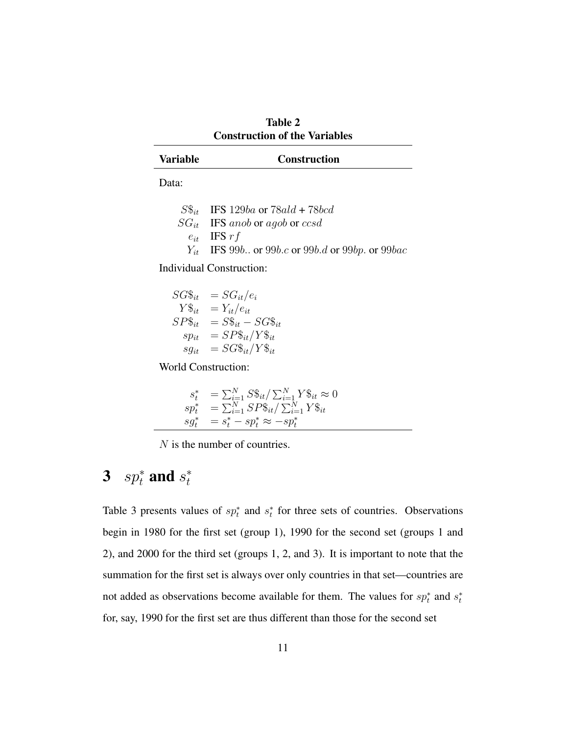| <b>Table 2</b>                       |  |  |  |  |  |
|--------------------------------------|--|--|--|--|--|
| <b>Construction of the Variables</b> |  |  |  |  |  |

| <b>Variable</b> | <b>Construction</b> |  |
|-----------------|---------------------|--|
|                 |                     |  |

Data:

| $S\$ <sub>it</sub> IFS 129ba or 78ald + 78bcd                                                   |
|-------------------------------------------------------------------------------------------------|
| $SG_{it}$ IFS anob or agob or ccsd                                                              |
| $e_{it}$ IFS r f                                                                                |
| $Y_{it}$ IFS 99 <i>b.</i> . or 99 <i>b.c</i> or 99 <i>b.d</i> or 99 <i>bp.</i> or 99 <i>bac</i> |

Individual Construction:

$$
SG\$\underset{it}{s_{it}} = SG_{it}/e_{i} Y\$\underset{it}{s_{it}} = Y_{it}/e_{it} SP\$\underset{it}{s_{it}} = SS_{it} - SG\$\underset{it}{s_{it}} sp_{it} = SP\$\underset{it}{s_{it}}/Y\$\underset{it}{s_{it}} sg_{it} = SG\$\underset{it}{s_{it}}/Y\$\underset{it}{s_{it}}
$$

World Construction:

$$
s_t^* = \sum_{i=1}^N S\$_{it} / \sum_{i=1}^N Y\$_{it} \approx 0
$$
  
\n
$$
s p_t^* = \sum_{i=1}^N S P\$_{it} / \sum_{i=1}^N Y\$_{it}
$$
  
\n
$$
s g_t^* = s_t^* - s p_t^* \approx -s p_t^*
$$

N is the number of countries.

#### 3  $sp_t^*$  and  $s_t^*$ t

Table 3 presents values of  $sp_t^*$  and  $s_t^*$  for three sets of countries. Observations begin in 1980 for the first set (group 1), 1990 for the second set (groups 1 and 2), and 2000 for the third set (groups 1, 2, and 3). It is important to note that the summation for the first set is always over only countries in that set—countries are not added as observations become available for them. The values for  $sp_t^*$  and  $s_t^*$ for, say, 1990 for the first set are thus different than those for the second set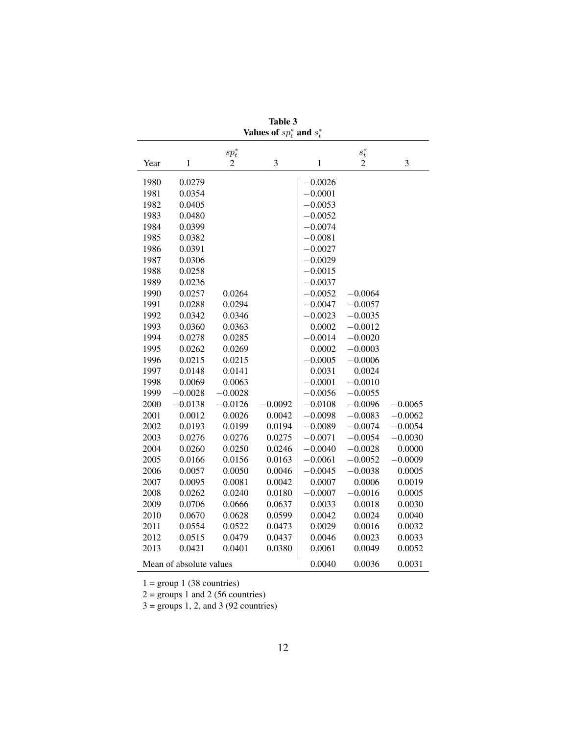| Values of $sp_t^*$ and $s_t^*$ |              |                |           |               |                |           |
|--------------------------------|--------------|----------------|-----------|---------------|----------------|-----------|
|                                |              | $sp_t^*$       |           |               | $s_t^*$        |           |
| Year                           | $\mathbf{1}$ | $\overline{c}$ | 3         | $\mathbbm{1}$ | $\overline{2}$ | 3         |
| 1980                           | 0.0279       |                |           | $-0.0026$     |                |           |
| 1981                           | 0.0354       |                |           | $-0.0001$     |                |           |
| 1982                           | 0.0405       |                |           | $-0.0053$     |                |           |
| 1983                           | 0.0480       |                |           | $-0.0052$     |                |           |
| 1984                           | 0.0399       |                |           | $-0.0074$     |                |           |
| 1985                           | 0.0382       |                |           | $-0.0081$     |                |           |
| 1986                           | 0.0391       |                |           | $-0.0027$     |                |           |
| 1987                           | 0.0306       |                |           | $-0.0029$     |                |           |
| 1988                           | 0.0258       |                |           | $-0.0015$     |                |           |
| 1989                           | 0.0236       |                |           | $-0.0037$     |                |           |
| 1990                           | 0.0257       | 0.0264         |           | $-0.0052$     | $-0.0064$      |           |
| 1991                           | 0.0288       | 0.0294         |           | $-0.0047$     | $-0.0057$      |           |
| 1992                           | 0.0342       | 0.0346         |           | $-0.0023$     | $-0.0035$      |           |
| 1993                           | 0.0360       | 0.0363         |           | 0.0002        | $-0.0012$      |           |
| 1994                           | 0.0278       | 0.0285         |           | $-0.0014$     | $-0.0020$      |           |
| 1995                           | 0.0262       | 0.0269         |           | 0.0002        | $-0.0003$      |           |
| 1996                           | 0.0215       | 0.0215         |           | $-0.0005$     | $-0.0006$      |           |
| 1997                           | 0.0148       | 0.0141         |           | 0.0031        | 0.0024         |           |
| 1998                           | 0.0069       | 0.0063         |           | $-0.0001$     | $-0.0010$      |           |
| 1999                           | $-0.0028$    | $-0.0028$      |           | $-0.0056$     | $-0.0055$      |           |
| 2000                           | $-0.0138$    | $-0.0126$      | $-0.0092$ | $-0.0108$     | $-0.0096$      | $-0.0065$ |
| 2001                           | 0.0012       | 0.0026         | 0.0042    | $-0.0098$     | $-0.0083$      | $-0.0062$ |
| 2002                           | 0.0193       | 0.0199         | 0.0194    | $-0.0089$     | $-0.0074$      | $-0.0054$ |
| 2003                           | 0.0276       | 0.0276         | 0.0275    | $-0.0071$     | $-0.0054$      | $-0.0030$ |
| 2004                           | 0.0260       | 0.0250         | 0.0246    | $-0.0040$     | $-0.0028$      | 0.0000    |
| 2005                           | 0.0166       | 0.0156         | 0.0163    | $-0.0061$     | $-0.0052$      | $-0.0009$ |
| 2006                           | 0.0057       | 0.0050         | 0.0046    | $-0.0045$     | $-0.0038$      | 0.0005    |
| 2007                           | 0.0095       | 0.0081         | 0.0042    | 0.0007        | 0.0006         | 0.0019    |
| 2008                           | 0.0262       | 0.0240         | 0.0180    | $-0.0007$     | $-0.0016$      | 0.0005    |
| 2009                           | 0.0706       | 0.0666         | 0.0637    | 0.0033        | 0.0018         | 0.0030    |
| 2010                           | 0.0670       | 0.0628         | 0.0599    | 0.0042        | 0.0024         | 0.0040    |
| 2011                           | 0.0554       | 0.0522         | 0.0473    | 0.0029        | 0.0016         | 0.0032    |
| 2012                           | 0.0515       | 0.0479         | 0.0437    | 0.0046        | 0.0023         | 0.0033    |
| 2013                           | 0.0421       | 0.0401         | 0.0380    | 0.0061        | 0.0049         | 0.0052    |
| Mean of absolute values        |              |                | 0.0040    | 0.0036        | 0.0031         |           |

Table 3 Values of  $sp_t^*$ ∗

 $1 = \text{group } 1 (38 \text{ countries})$ 

 $2 =$  groups 1 and 2 (56 countries)

 $3 =$  groups 1, 2, and 3 (92 countries)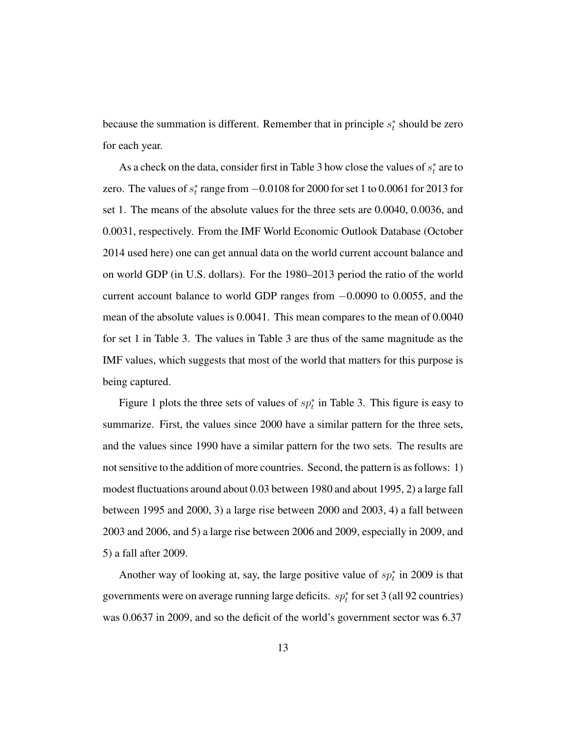because the summation is different. Remember that in principle  $s_t^*$  should be zero for each year.

As a check on the data, consider first in Table 3 how close the values of  $s_t^*$  are to zero. The values of  $s_t^*$  range from  $-0.0108$  for 2000 for set 1 to 0.0061 for 2013 for set 1. The means of the absolute values for the three sets are 0.0040, 0.0036, and 0.0031, respectively. From the IMF World Economic Outlook Database (October 2014 used here) one can get annual data on the world current account balance and on world GDP (in U.S. dollars). For the 1980–2013 period the ratio of the world current account balance to world GDP ranges from −0.0090 to 0.0055, and the mean of the absolute values is 0.0041. This mean compares to the mean of 0.0040 for set 1 in Table 3. The values in Table 3 are thus of the same magnitude as the IMF values, which suggests that most of the world that matters for this purpose is being captured.

Figure 1 plots the three sets of values of  $sp_t^*$  in Table 3. This figure is easy to summarize. First, the values since 2000 have a similar pattern for the three sets, and the values since 1990 have a similar pattern for the two sets. The results are not sensitive to the addition of more countries. Second, the pattern is as follows: 1) modest fluctuations around about 0.03 between 1980 and about 1995, 2) a large fall between 1995 and 2000, 3) a large rise between 2000 and 2003, 4) a fall between 2003 and 2006, and 5) a large rise between 2006 and 2009, especially in 2009, and 5) a fall after 2009.

Another way of looking at, say, the large positive value of  $sp_t^*$  in 2009 is that governments were on average running large deficits.  $sp_t^*$  for set 3 (all 92 countries) was 0.0637 in 2009, and so the deficit of the world's government sector was 6.37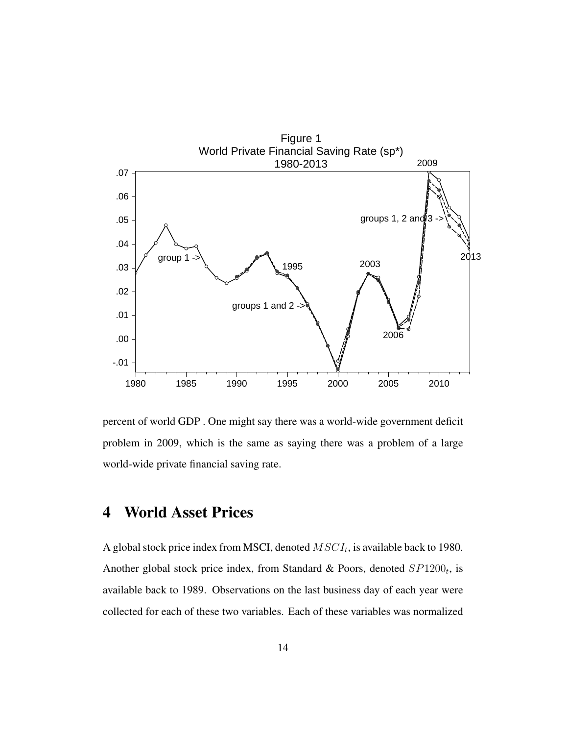

percent of world GDP . One might say there was a world-wide government deficit problem in 2009, which is the same as saying there was a problem of a large world-wide private financial saving rate.

# 4 World Asset Prices

A global stock price index from MSCI, denoted  $MSCI_t$ , is available back to 1980. Another global stock price index, from Standard & Poors, denoted  $SP1200<sub>t</sub>$ , is available back to 1989. Observations on the last business day of each year were collected for each of these two variables. Each of these variables was normalized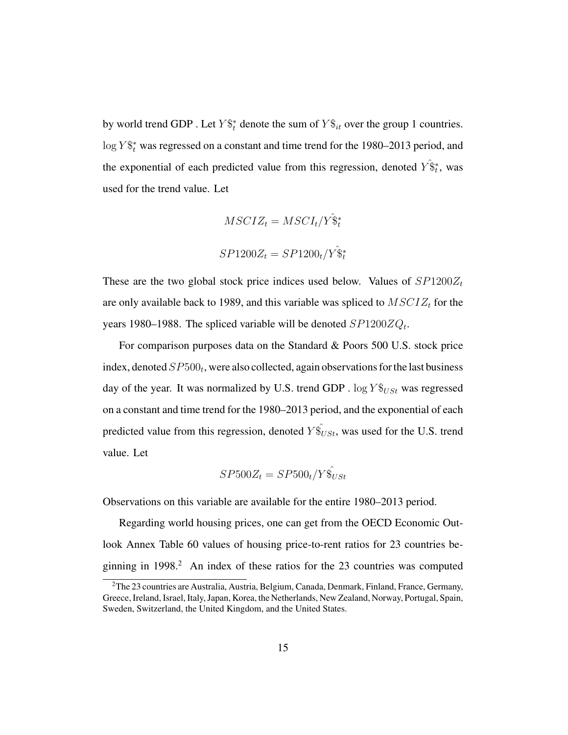by world trend GDP. Let  $Y\$ <sub> $t$ </sub> denote the sum of  $Y\$ <sub> $it$ </sub> over the group 1 countries.  $\log Y \$ <sup>\*</sup> was regressed on a constant and time trend for the 1980–2013 period, and the exponential of each predicted value from this regression, denoted  $\hat{Y}_{t}^*$ , was used for the trend value. Let

$$
MSCIZ_t = MSCI_t/Y\hat{\mathbf{S}}_t^*
$$

$$
SP1200Z_t = SP1200_t/Y\hat{\mathbf{S}}_t^*
$$

These are the two global stock price indices used below. Values of  $SP1200Z_t$ are only available back to 1989, and this variable was spliced to  $MSCIZ_t$  for the years 1980–1988. The spliced variable will be denoted  $SP1200ZQ_t$ .

For comparison purposes data on the Standard & Poors 500 U.S. stock price index, denoted  $SP500_t$ , were also collected, again observations for the last business day of the year. It was normalized by U.S. trend GDP .  $\log Y_{USt}$  was regressed on a constant and time trend for the 1980–2013 period, and the exponential of each predicted value from this regression, denoted  $Y\hat{S}_{USt}$ , was used for the U.S. trend value. Let

$$
SP500Z_t = SP500_t / Y\hat{\mathbf{S}}_{USt}
$$

Observations on this variable are available for the entire 1980–2013 period.

Regarding world housing prices, one can get from the OECD Economic Outlook Annex Table 60 values of housing price-to-rent ratios for 23 countries beginning in  $1998<sup>2</sup>$  An index of these ratios for the 23 countries was computed

<sup>2</sup>The 23 countries are Australia, Austria, Belgium, Canada, Denmark, Finland, France, Germany, Greece, Ireland, Israel, Italy, Japan, Korea, the Netherlands, New Zealand, Norway, Portugal, Spain, Sweden, Switzerland, the United Kingdom, and the United States.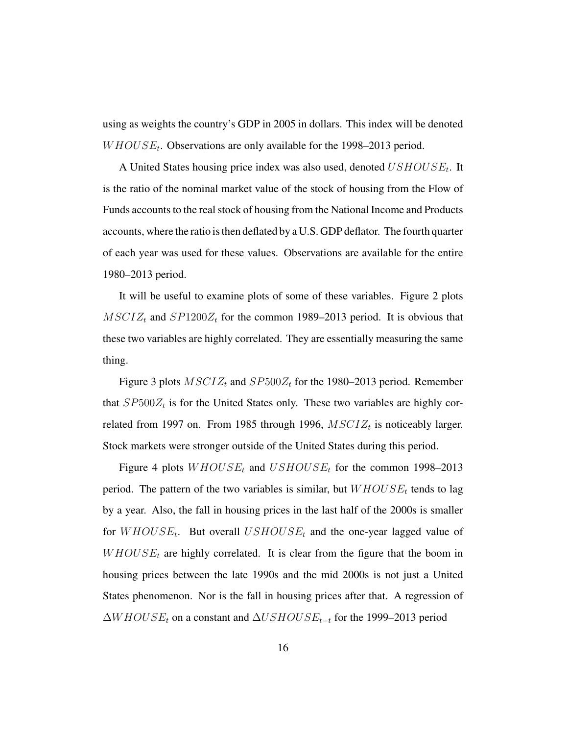using as weights the country's GDP in 2005 in dollars. This index will be denoted  $WHOUSE_t$ . Observations are only available for the 1998–2013 period.

A United States housing price index was also used, denoted  $USHOUSE_t$ . It is the ratio of the nominal market value of the stock of housing from the Flow of Funds accounts to the real stock of housing from the National Income and Products accounts, where the ratio is then deflated by a U.S. GDP deflator. The fourth quarter of each year was used for these values. Observations are available for the entire 1980–2013 period.

It will be useful to examine plots of some of these variables. Figure 2 plots  $MSCIZ_t$  and  $SP1200Z_t$  for the common 1989–2013 period. It is obvious that these two variables are highly correlated. They are essentially measuring the same thing.

Figure 3 plots  $MSCIZ_t$  and  $SP500Z_t$  for the 1980–2013 period. Remember that  $SP500Z_t$  is for the United States only. These two variables are highly correlated from 1997 on. From 1985 through 1996,  $MSCIZ_t$  is noticeably larger. Stock markets were stronger outside of the United States during this period.

Figure 4 plots  $WHOUSE_t$  and  $USHOUSE_t$  for the common 1998–2013 period. The pattern of the two variables is similar, but  $WHOUSE_t$  tends to lag by a year. Also, the fall in housing prices in the last half of the 2000s is smaller for  $WHOUSE_t$ . But overall  $USHOUSE_t$  and the one-year lagged value of  $W \text{HOUS} E_t$  are highly correlated. It is clear from the figure that the boom in housing prices between the late 1990s and the mid 2000s is not just a United States phenomenon. Nor is the fall in housing prices after that. A regression of  $\Delta WHOUSE_t$  on a constant and  $\Delta USHOUSE_{t-t}$  for the 1999–2013 period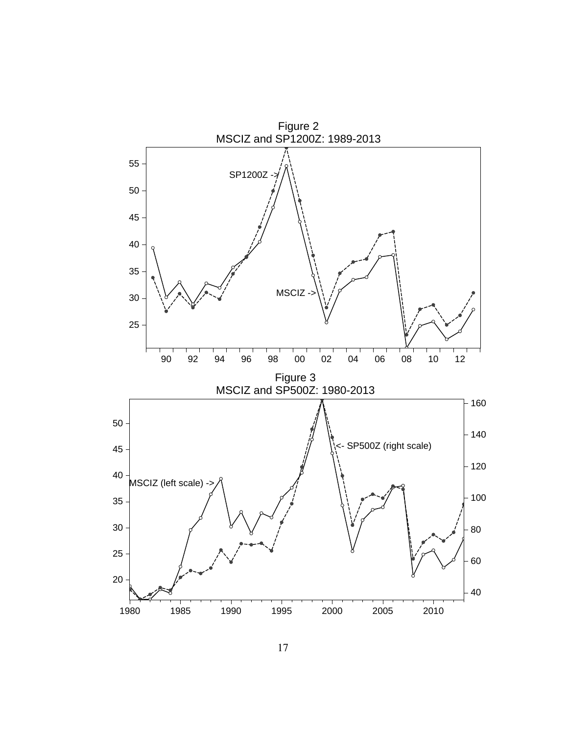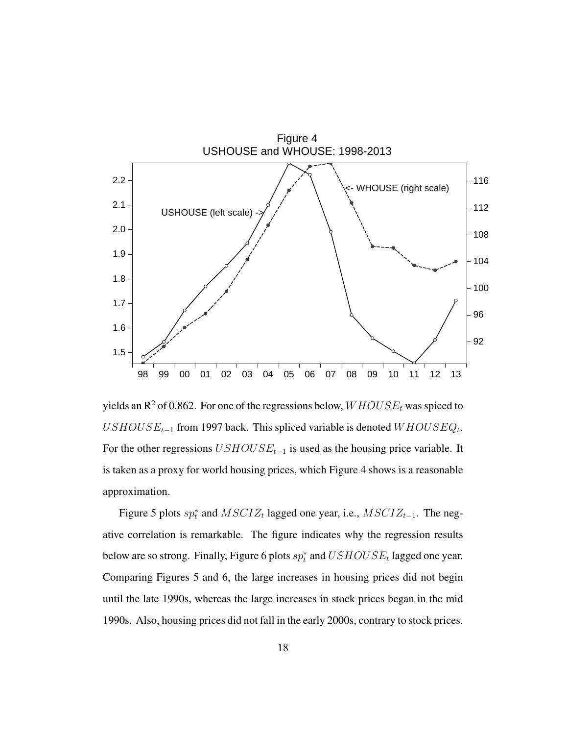

yields an  $\mathbb{R}^2$  of 0.862. For one of the regressions below,  $WHOUSE_t$  was spiced to  $USHOUSE_{t-1}$  from 1997 back. This spliced variable is denoted  $WHOUSEQ_t$ . For the other regressions  $USHOUSE_{t-1}$  is used as the housing price variable. It is taken as a proxy for world housing prices, which Figure 4 shows is a reasonable approximation.

Figure 5 plots  $sp_t^*$  and  $MSCIZ_t$  lagged one year, i.e.,  $MSCIZ_{t-1}$ . The negative correlation is remarkable. The figure indicates why the regression results below are so strong. Finally, Figure 6 plots  $sp_t^*$  and  $USHOUSE_t$  lagged one year. Comparing Figures 5 and 6, the large increases in housing prices did not begin until the late 1990s, whereas the large increases in stock prices began in the mid 1990s. Also, housing prices did not fall in the early 2000s, contrary to stock prices.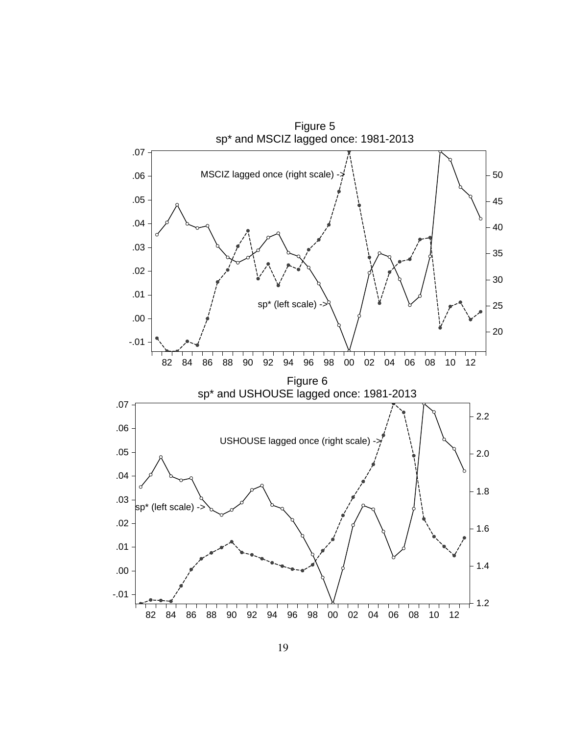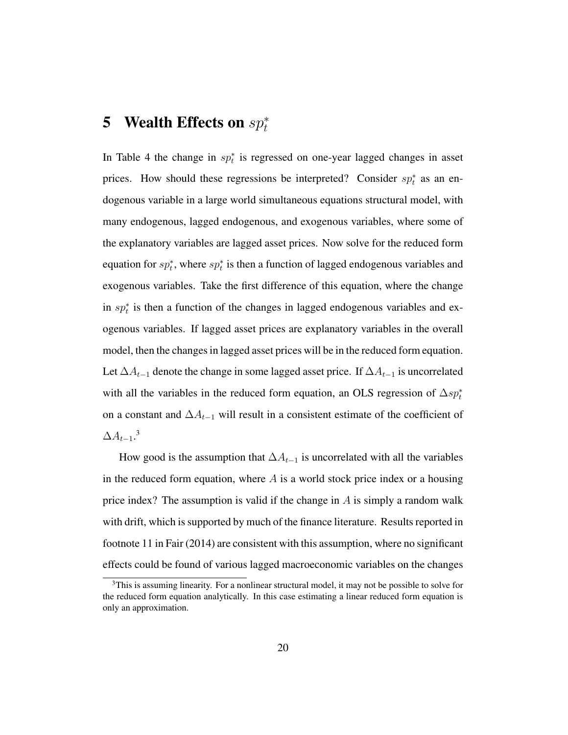# 5 Wealth Effects on  $sp_t^*$

In Table 4 the change in  $sp_t^*$  is regressed on one-year lagged changes in asset prices. How should these regressions be interpreted? Consider  $sp_t^*$  as an endogenous variable in a large world simultaneous equations structural model, with many endogenous, lagged endogenous, and exogenous variables, where some of the explanatory variables are lagged asset prices. Now solve for the reduced form equation for  $sp_t^*$ , where  $sp_t^*$  is then a function of lagged endogenous variables and exogenous variables. Take the first difference of this equation, where the change in  $sp_t^*$  is then a function of the changes in lagged endogenous variables and exogenous variables. If lagged asset prices are explanatory variables in the overall model, then the changes in lagged asset prices will be in the reduced form equation. Let  $\Delta A_{t-1}$  denote the change in some lagged asset price. If  $\Delta A_{t-1}$  is uncorrelated with all the variables in the reduced form equation, an OLS regression of  $\Delta sp_t^*$ on a constant and  $\Delta A_{t-1}$  will result in a consistent estimate of the coefficient of  $\Delta A_{t-1}.^3$ 

How good is the assumption that  $\Delta A_{t-1}$  is uncorrelated with all the variables in the reduced form equation, where  $A$  is a world stock price index or a housing price index? The assumption is valid if the change in  $A$  is simply a random walk with drift, which is supported by much of the finance literature. Results reported in footnote 11 in Fair (2014) are consistent with this assumption, where no significant effects could be found of various lagged macroeconomic variables on the changes

<sup>&</sup>lt;sup>3</sup>This is assuming linearity. For a nonlinear structural model, it may not be possible to solve for the reduced form equation analytically. In this case estimating a linear reduced form equation is only an approximation.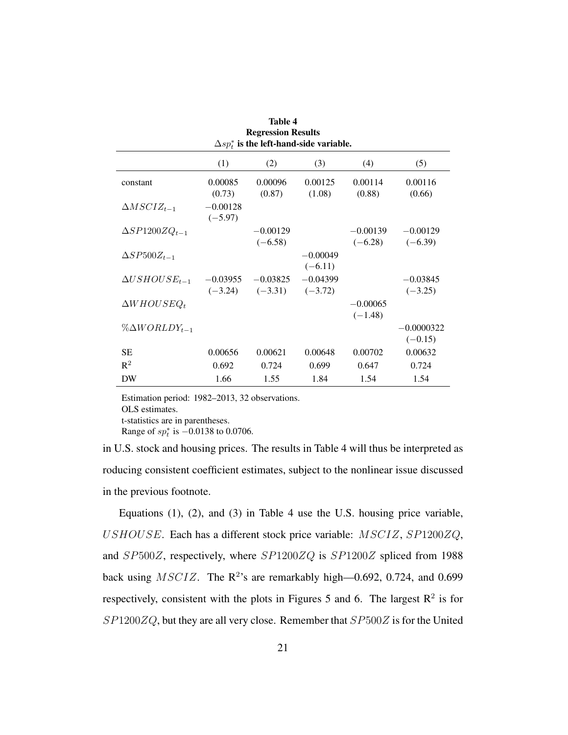| Table 4<br><b>Regression Results</b><br>$\Delta sp_t^*$ is the left-hand-side variable. |                         |                         |                         |                         |                           |  |
|-----------------------------------------------------------------------------------------|-------------------------|-------------------------|-------------------------|-------------------------|---------------------------|--|
|                                                                                         | (1)                     | (2)                     | (3)                     | (4)                     | (5)                       |  |
| constant                                                                                | 0.00085<br>(0.73)       | 0.00096<br>(0.87)       | 0.00125<br>(1.08)       | 0.00114<br>(0.88)       | 0.00116<br>(0.66)         |  |
| $\Delta MSCIZ_{t-1}$                                                                    | $-0.00128$<br>$(-5.97)$ |                         |                         |                         |                           |  |
| $\Delta SP1200ZQ_{t-1}$                                                                 |                         | $-0.00129$<br>$(-6.58)$ |                         | $-0.00139$<br>$(-6.28)$ | $-0.00129$<br>$(-6.39)$   |  |
| $\Delta SP500Z_{t-1}$                                                                   |                         |                         | $-0.00049$<br>$(-6.11)$ |                         |                           |  |
| $\Delta USHOUSE_{t-1}$                                                                  | $-0.03955$<br>$(-3.24)$ | $-0.03825$<br>$(-3.31)$ | $-0.04399$<br>$(-3.72)$ |                         | $-0.03845$<br>$(-3.25)$   |  |
| $\Delta WHOUSEQ_t$                                                                      |                         |                         |                         | $-0.00065$<br>$(-1.48)$ |                           |  |
| $\%\Delta WORLDY_{t-1}$                                                                 |                         |                         |                         |                         | $-0.0000322$<br>$(-0.15)$ |  |
| <b>SE</b>                                                                               | 0.00656                 | 0.00621                 | 0.00648                 | 0.00702                 | 0.00632                   |  |
| $R^2$                                                                                   | 0.692                   | 0.724                   | 0.699                   | 0.647                   | 0.724                     |  |
| DW                                                                                      | 1.66                    | 1.55                    | 1.84                    | 1.54                    | 1.54                      |  |

Estimation period: 1982–2013, 32 observations. OLS estimates. t-statistics are in parentheses. Range of  $sp_t^*$  is  $-0.0138$  to 0.0706.

in U.S. stock and housing prices. The results in Table 4 will thus be interpreted as roducing consistent coefficient estimates, subject to the nonlinear issue discussed in the previous footnote.

Equations (1), (2), and (3) in Table 4 use the U.S. housing price variable, USHOUSE. Each has a different stock price variable: MSCIZ, SP1200ZQ, and SP500Z, respectively, where SP1200ZQ is SP1200Z spliced from 1988 back using  $MSCIZ$ . The  $\mathbb{R}^2$ 's are remarkably high—0.692, 0.724, and 0.699 respectively, consistent with the plots in Figures 5 and 6. The largest  $\mathbb{R}^2$  is for  $SP1200ZQ$ , but they are all very close. Remember that  $SP500Z$  is for the United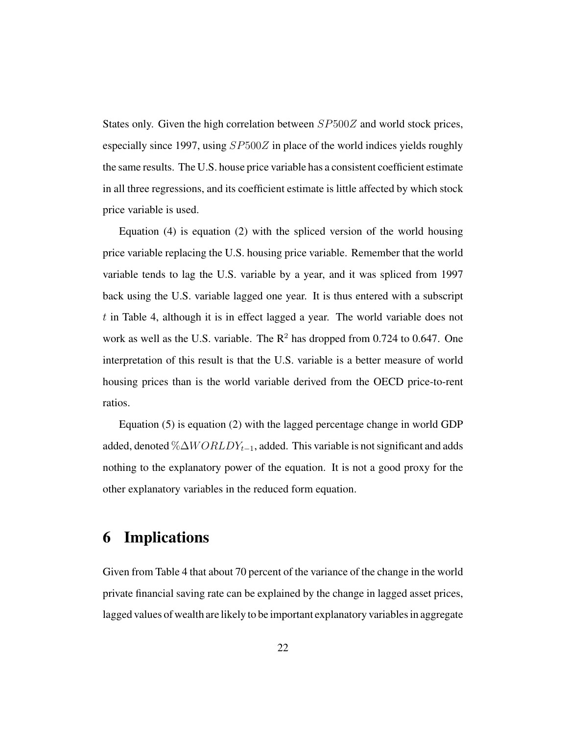States only. Given the high correlation between  $SP500Z$  and world stock prices, especially since 1997, using  $SP500Z$  in place of the world indices yields roughly the same results. The U.S. house price variable has a consistent coefficient estimate in all three regressions, and its coefficient estimate is little affected by which stock price variable is used.

Equation (4) is equation (2) with the spliced version of the world housing price variable replacing the U.S. housing price variable. Remember that the world variable tends to lag the U.S. variable by a year, and it was spliced from 1997 back using the U.S. variable lagged one year. It is thus entered with a subscript t in Table 4, although it is in effect lagged a year. The world variable does not work as well as the U.S. variable. The  $R^2$  has dropped from 0.724 to 0.647. One interpretation of this result is that the U.S. variable is a better measure of world housing prices than is the world variable derived from the OECD price-to-rent ratios.

Equation (5) is equation (2) with the lagged percentage change in world GDP added, denoted % $\Delta WORLDY_{t-1}$ , added. This variable is not significant and adds nothing to the explanatory power of the equation. It is not a good proxy for the other explanatory variables in the reduced form equation.

# 6 Implications

Given from Table 4 that about 70 percent of the variance of the change in the world private financial saving rate can be explained by the change in lagged asset prices, lagged values of wealth are likely to be important explanatory variables in aggregate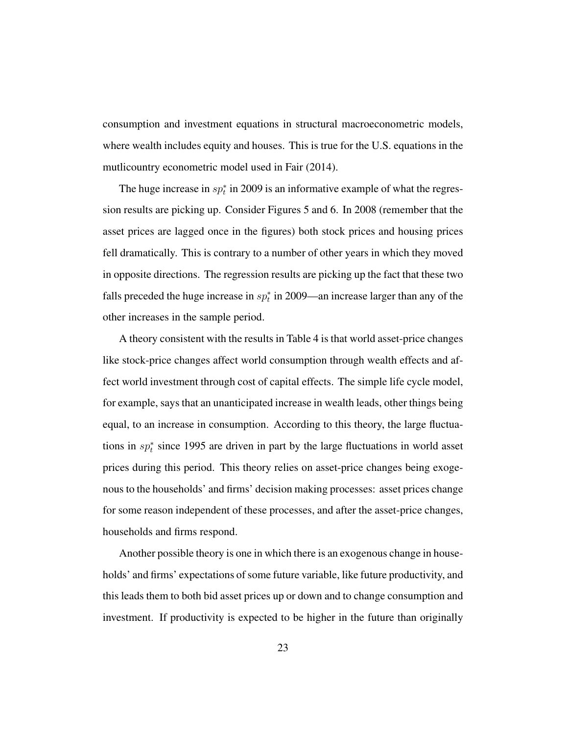consumption and investment equations in structural macroeconometric models, where wealth includes equity and houses. This is true for the U.S. equations in the mutlicountry econometric model used in Fair (2014).

The huge increase in  $sp_t^*$  in 2009 is an informative example of what the regression results are picking up. Consider Figures 5 and 6. In 2008 (remember that the asset prices are lagged once in the figures) both stock prices and housing prices fell dramatically. This is contrary to a number of other years in which they moved in opposite directions. The regression results are picking up the fact that these two falls preceded the huge increase in  $sp_t^*$  in 2009—an increase larger than any of the other increases in the sample period.

A theory consistent with the results in Table 4 is that world asset-price changes like stock-price changes affect world consumption through wealth effects and affect world investment through cost of capital effects. The simple life cycle model, for example, says that an unanticipated increase in wealth leads, other things being equal, to an increase in consumption. According to this theory, the large fluctuations in  $sp<sub>t</sub><sup>*</sup>$  since 1995 are driven in part by the large fluctuations in world asset prices during this period. This theory relies on asset-price changes being exogenous to the households' and firms' decision making processes: asset prices change for some reason independent of these processes, and after the asset-price changes, households and firms respond.

Another possible theory is one in which there is an exogenous change in households' and firms' expectations of some future variable, like future productivity, and this leads them to both bid asset prices up or down and to change consumption and investment. If productivity is expected to be higher in the future than originally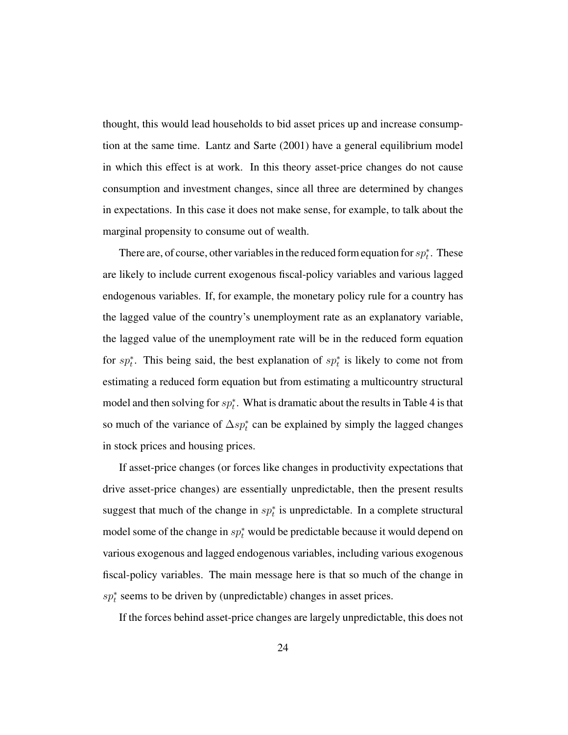thought, this would lead households to bid asset prices up and increase consumption at the same time. Lantz and Sarte (2001) have a general equilibrium model in which this effect is at work. In this theory asset-price changes do not cause consumption and investment changes, since all three are determined by changes in expectations. In this case it does not make sense, for example, to talk about the marginal propensity to consume out of wealth.

There are, of course, other variables in the reduced form equation for  $sp_t^*$ . These are likely to include current exogenous fiscal-policy variables and various lagged endogenous variables. If, for example, the monetary policy rule for a country has the lagged value of the country's unemployment rate as an explanatory variable, the lagged value of the unemployment rate will be in the reduced form equation for  $sp_t^*$ . This being said, the best explanation of  $sp_t^*$  is likely to come not from estimating a reduced form equation but from estimating a multicountry structural model and then solving for  $sp_t^*$ . What is dramatic about the results in Table 4 is that so much of the variance of  $\Delta sp_t^*$  can be explained by simply the lagged changes in stock prices and housing prices.

If asset-price changes (or forces like changes in productivity expectations that drive asset-price changes) are essentially unpredictable, then the present results suggest that much of the change in  $sp_t^*$  is unpredictable. In a complete structural model some of the change in  $sp_t^*$  would be predictable because it would depend on various exogenous and lagged endogenous variables, including various exogenous fiscal-policy variables. The main message here is that so much of the change in  $sp<sub>t</sub><sup>*</sup>$  seems to be driven by (unpredictable) changes in asset prices.

If the forces behind asset-price changes are largely unpredictable, this does not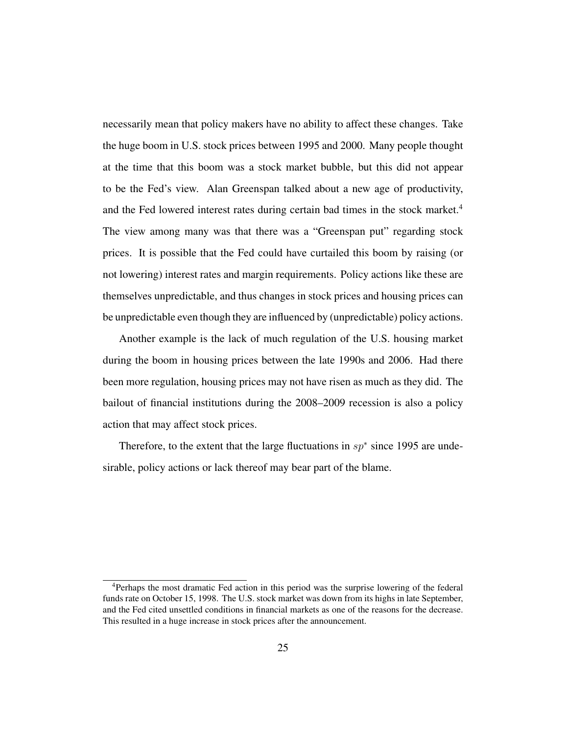necessarily mean that policy makers have no ability to affect these changes. Take the huge boom in U.S. stock prices between 1995 and 2000. Many people thought at the time that this boom was a stock market bubble, but this did not appear to be the Fed's view. Alan Greenspan talked about a new age of productivity, and the Fed lowered interest rates during certain bad times in the stock market.<sup>4</sup> The view among many was that there was a "Greenspan put" regarding stock prices. It is possible that the Fed could have curtailed this boom by raising (or not lowering) interest rates and margin requirements. Policy actions like these are themselves unpredictable, and thus changes in stock prices and housing prices can be unpredictable even though they are influenced by (unpredictable) policy actions.

Another example is the lack of much regulation of the U.S. housing market during the boom in housing prices between the late 1990s and 2006. Had there been more regulation, housing prices may not have risen as much as they did. The bailout of financial institutions during the 2008–2009 recession is also a policy action that may affect stock prices.

Therefore, to the extent that the large fluctuations in  $sp*$  since 1995 are undesirable, policy actions or lack thereof may bear part of the blame.

<sup>4</sup>Perhaps the most dramatic Fed action in this period was the surprise lowering of the federal funds rate on October 15, 1998. The U.S. stock market was down from its highs in late September, and the Fed cited unsettled conditions in financial markets as one of the reasons for the decrease. This resulted in a huge increase in stock prices after the announcement.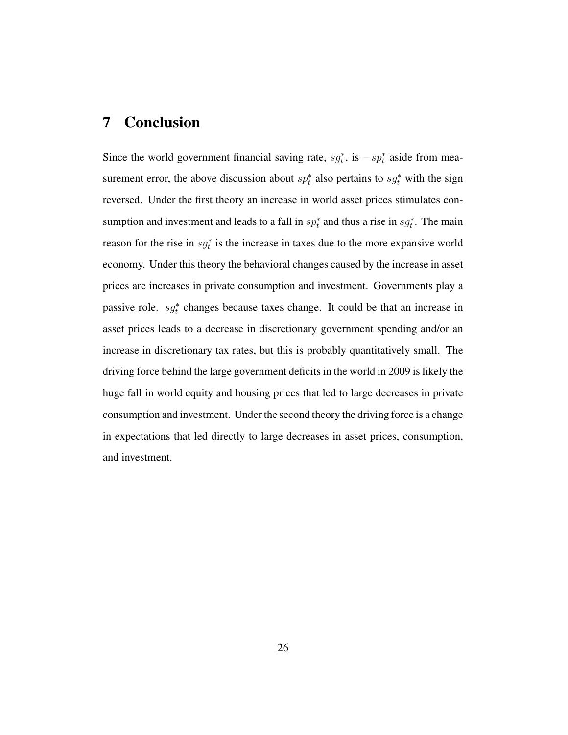# 7 Conclusion

Since the world government financial saving rate,  $sg_t^*$ , is  $-sp_t^*$  aside from measurement error, the above discussion about  $sp_t^*$  also pertains to  $sg_t^*$  with the sign reversed. Under the first theory an increase in world asset prices stimulates consumption and investment and leads to a fall in  $sp_t^*$  and thus a rise in  $sg_t^*$ . The main reason for the rise in  $sg_t^*$  is the increase in taxes due to the more expansive world economy. Under this theory the behavioral changes caused by the increase in asset prices are increases in private consumption and investment. Governments play a passive role.  $sg_t^*$  changes because taxes change. It could be that an increase in asset prices leads to a decrease in discretionary government spending and/or an increase in discretionary tax rates, but this is probably quantitatively small. The driving force behind the large government deficits in the world in 2009 is likely the huge fall in world equity and housing prices that led to large decreases in private consumption and investment. Under the second theory the driving force is a change in expectations that led directly to large decreases in asset prices, consumption, and investment.